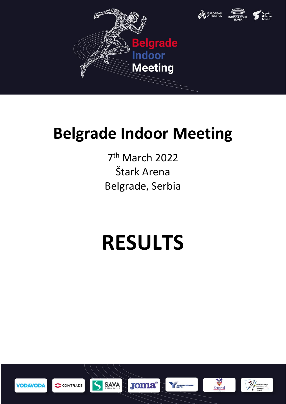



7 th March 2022 Štark Arena Belgrade, Serbia

# **RESULTS**





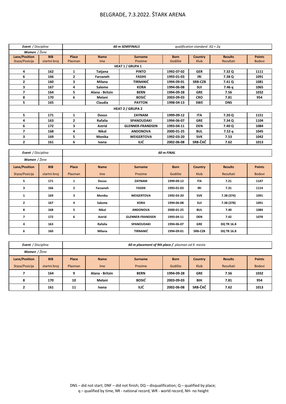| Event / Disciplina |              |              |                 | <b>60 m SEMIFINALS</b>  |             | qualification standard: $3Q + 2q$ |                |               |
|--------------------|--------------|--------------|-----------------|-------------------------|-------------|-----------------------------------|----------------|---------------|
| Women / Žene       |              |              |                 |                         |             |                                   |                |               |
| Lane/Position      | <b>BIB</b>   | <b>Place</b> | <b>Name</b>     | <b>Surname</b>          | <b>Born</b> | <b>Country</b>                    | <b>Results</b> | <b>Points</b> |
| Staza/Pozicija     | startni broj | Plasman      | Ime             | Prezime                 | Godište     | Klub                              | Rezultati      | <b>Bodovi</b> |
|                    |              |              |                 | <b>HEAT 1 / GRUPA 1</b> |             |                                   |                |               |
| 4                  | 162          | 1            | Tatjana         | <b>PINTO</b>            | 1992-07-02  | <b>GER</b>                        | 7.32 Q         | 1111          |
| 6                  | 166          | 2            | Farzaneh        | <b>FASIHI</b>           | 1993-01-03  | IRI                               | 7.38 Q         | 1091          |
| 2                  | 160          | 3            | Milana          | <b>TIRNANIĆ</b>         | 1994-09-01  | <b>SRB-CZB</b>                    | 7.41 Q         | 1081          |
| 3                  | 167          | 4            | <b>Salome</b>   | <b>KORA</b>             | 1994-06-08  | <b>SUI</b>                        | 7.46 g         | 1065          |
| 7                  | 164          | 5            | Alana - Britzin | <b>BERN</b>             | 1994-09-28  | <b>GRE</b>                        | 7.56           | 1032          |
| 8                  | 170          | 6            | Melani          | <b>BOSIĆ</b>            | 2003-09-03  | <b>CRO</b>                        | 7.81           | 954           |
| 5                  | 165          |              | Claudia         | <b>PAYTON</b>           | 1998-04-13  | <b>SWE</b>                        | <b>DNS</b>     |               |
|                    |              |              |                 | <b>HEAT 2 / GRUPA 2</b> |             |                                   |                |               |
| 5.                 | 171          | 1            | <b>Dosso</b>    | <b>ZAYNAM</b>           | 1999-09-12  | <b>ITA</b>                        | 7.20 Q         | 1151          |
| 4                  | 163          | 2            | Rafalia         | <b>SPANOUDAKI</b>       | 1994-06-07  | <b>GRE</b>                        | 7.34 Q         | 1104          |
| 6                  | 172          | 3            | <b>Astrid</b>   | <b>GLENNER-FRANDSEN</b> | 1993-04-11  | <b>DEN</b>                        | 7.40 Q         | 1084          |
| 7                  | 168          | 4            | Nikol           | <b>ANDONOVA</b>         | 2000-01-25  | <b>BUL</b>                        | 7.52q          | 1045          |
| 3                  | 169          | 5            | Monika          | <b>WEIGERTOVA</b>       | 1992-03-20  | <b>SVK</b>                        | 7.53           | 1042          |
| 2                  | 161          | 6            | Ivana           | ILIĆ                    | 2002-06-08  | SRB-ČAČ                           | 7.62           | 1013          |

| Event / Disciplina   |              |                |                 |                         | <b>60 m FINAL</b> |                |                   |               |
|----------------------|--------------|----------------|-----------------|-------------------------|-------------------|----------------|-------------------|---------------|
| Women / Žene         |              |                |                 |                         |                   |                |                   |               |
| <b>Lane/Position</b> | <b>BIB</b>   | Place          | <b>Name</b>     | <b>Surname</b>          | <b>Born</b>       | <b>Country</b> | <b>Results</b>    | <b>Points</b> |
| Staza/Pozicija       | startni broj | <b>Plasman</b> | I <sub>me</sub> | Prezime                 | Godište           | Klub           | Rezultati         | <b>Bodovi</b> |
| 5                    | 171          | 1              | Dosso           | ZAYNAM                  | 1999-09-12        | <b>ITA</b>     | 7.21              | 1147          |
| 3                    | 166          | $\mathbf{z}$   | Farzaneh        | <b>FASIHI</b>           | 1993-01-03        | IRI            | 7.31              | 1114          |
| 1                    | 169          | 3              | Monika          | <b>WEIGERTOVA</b>       | 1992-03-20        | <b>SVK</b>     | 7.38 (374)        | 1091          |
| $\mathbf{2}$         | 167          | 4              | <b>Salome</b>   | <b>KORA</b>             | 1994-06-08        | SUI            | 7.38 (378)        | 1091          |
| 8                    | 168          | 5              | Nikol           | <b>ANDONOVA</b>         | 2000-01-25        | <b>BUL</b>     | 7.40              | 1084          |
| 7                    | 172          | 6              | Astrid          | <b>GLENNER-FRANDSEN</b> | 1993-04-11        | <b>DEN</b>     | 7.42              | 1078          |
| 4                    | 163          |                | Rafalia         | <b>SPANOUDAKI</b>       | 1994-06-07        | <b>GRE</b>     | <b>DQ TR 16.8</b> |               |
| 6                    | 160          |                | Milana          | <b>TIRNANIĆ</b>         | 1994-09-01        | <b>SRB-CZB</b> | <b>DQ TR 16.8</b> |               |

| Event / Disciplina |              |         | 60 m placement of 9th place / plasman od 9. mesta |                |             |                |                |               |
|--------------------|--------------|---------|---------------------------------------------------|----------------|-------------|----------------|----------------|---------------|
| Women / Žene       |              |         |                                                   |                |             |                |                |               |
| Lane/Position      | <b>BIB</b>   | Place   | <b>Name</b>                                       | <b>Surname</b> | <b>Born</b> | <b>Country</b> | <b>Results</b> | <b>Points</b> |
| Staza/Pozicija     | startni broj | Plasman | <b>Ime</b>                                        | Prezime        | Godište     | Klub           | Rezultati      | <b>Bodovi</b> |
|                    | 164          | 9       | Alana - Britzin                                   | <b>BERN</b>    | 1994-09-28  | <b>GRE</b>     | 7.56           | 1032          |
| 8                  | 170          | 10      | Melani                                            | <b>BOSIĆ</b>   | 2003-09-03  | <b>BIH</b>     | 7.81           | 954           |
|                    | 161          | 11      | Ivana                                             | ILIĆ           | 2002-06-08  | SRB-ČAČ        | 7.62           | 1013          |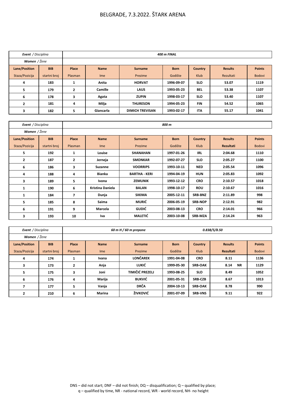| <b>Event</b> / Disciplina |              | 400 m FINAL    |                |                        |             |                |                |               |
|---------------------------|--------------|----------------|----------------|------------------------|-------------|----------------|----------------|---------------|
| Women / Žene              |              |                |                |                        |             |                |                |               |
| Lane/Position             | <b>BIB</b>   | Place          | <b>Name</b>    | <b>Surname</b>         | <b>Born</b> | <b>Country</b> | <b>Results</b> | <b>Points</b> |
| Staza/Pozicija            | startni broj | Plasman        | Ime            | Prezime                | Godište     | <b>Klub</b>    | Rezultati      | <b>Bodovi</b> |
| 4                         | 183          | л.             | Anita          | <b>HORVAT</b>          | 1996-09-07  | <b>SLO</b>     | 53.07          | 1119          |
| 5                         | 179          | $\overline{2}$ | <b>Camille</b> | <b>LAUS</b>            | 1993-05-23  | <b>BEL</b>     | 53.38          | 1107          |
| 6                         | 178          | 3              | Agata          | <b>ZUPIN</b>           | 1998-03-17  | <b>SLO</b>     | 53.40          | 1107          |
| $\overline{2}$            | 181          | 4              | Milja          | <b>THURESON</b>        | 1994-05-23  | <b>FIN</b>     | 54.52          | 1065          |
| 3                         | 182          | 5              | Giancarla      | <b>DIMICH TREVISAN</b> | 1993-02-17  | <b>ITA</b>     | 55.17          | 1041          |

| Event / Disciplina |              |                |                         |                    | 800 m       |                |                  |               |
|--------------------|--------------|----------------|-------------------------|--------------------|-------------|----------------|------------------|---------------|
| Women / Žene       |              |                |                         |                    |             |                |                  |               |
| Lane/Position      | <b>BIB</b>   | Place          | <b>Name</b>             | <b>Surname</b>     | <b>Born</b> | Country        | <b>Results</b>   | <b>Points</b> |
| Staza/Pozicija     | startni broj | Plasman        | I <sub>me</sub>         | Prezime            | Godište     | Klub           | <b>Rezultati</b> | <b>Bodovi</b> |
| 5                  | 192          | 1              | Louise                  | <b>SHANAHAN</b>    | 1997-01-26  | <b>IRL</b>     | 2:04.68          | 1110          |
| $\mathbf{2}$       | 187          | $\overline{2}$ | Jerneja                 | <b>SMONKAR</b>     | 1992-07-27  | <b>SLO</b>     | 2:05.27          | 1100          |
| 6                  | 186          | 3              | Suzanne                 | <b>VOORRIPS</b>    | 1993-10-11  | <b>NED</b>     | 2:05.54          | 1096          |
| 4                  | 188          | 4              | Bianka                  | <b>BARTHA KERI</b> | 1994-04-19  | <b>HUN</b>     | 2:05.83          | 1092          |
| 3                  | 189          | 5              | Ivona                   | <b>ZEMUNIK</b>     | 1993-12-12  | <b>CRO</b>     | 2:10.57          | 1018          |
| 1                  | 190          | 6              | <b>Kristina Daniela</b> | <b>BALAN</b>       | 1998-10-17  | <b>ROU</b>     | 2:10.67          | 1016          |
| $\mathbf{1}$       | 184          | 7              | Dunja                   | <b>SIKIMA</b>      | 2005-12-11  | <b>SRB-BNZ</b> | 2:11.89          | 998           |
| 5                  | 185          | 8              | Saima                   | MURIĆ              | 2006-05-19  | <b>SRB-NOP</b> | 2:12.91          | 982           |
| 6                  | 191          | 9              | Marcela                 | GUDIĆ              | 2003-08-13  | <b>CRO</b>     | 2:14.01          | 966           |
| 3                  | 193          | 10             | Iva                     | <b>MALETIĆ</b>     | 2003-10-08  | SRB-MZA        | 2:14.24          | 963           |

| Event / Disciplina |              |                |             | 60 m H / 60 m prepone |             |                | <i>0.838/5/8.50</i> |               |
|--------------------|--------------|----------------|-------------|-----------------------|-------------|----------------|---------------------|---------------|
| Women / Žene       |              |                |             |                       |             |                |                     |               |
| Lane/Position      | <b>BIB</b>   | Place          | <b>Name</b> | <b>Surname</b>        | <b>Born</b> | <b>Country</b> | <b>Results</b>      | <b>Points</b> |
| Staza/Pozicija     | startni broj | Plasman        | <b>Ime</b>  | Prezime               | Godište     | <b>Klub</b>    | <b>Rezultati</b>    | <b>Bodovi</b> |
| 4                  | 174          | 1              | Ivana       | <b>LONČAREK</b>       | 1991-04-08  | <b>CRO</b>     | 8.11                | 1136          |
| 3                  | 173          | $\overline{2}$ | Anja        | LUKIĆ                 | 1999-05-30  | <b>SRB-OAK</b> | 8.14<br><b>NR</b>   | 1129          |
| 5                  | 175          | 3              | Joni        | TIMIČIĆ PREZELJ       | 1993-08-25  | <b>SLO</b>     | 8.49                | 1052          |
| 6                  | 176          | 4              | Marija      | <b>BUKVIĆ</b>         | 2001-05-31  | <b>SRB-CZB</b> | 8.67                | 1013          |
|                    | 177          | 5              | Vanja       | <b>DRČA</b>           | 2004-10-13  | <b>SRB-OAK</b> | 8.78                | 990           |
| $\overline{2}$     | 210          | 6              | Marina      | ŽIVKOVIĆ              | 2001 07 09  | <b>SRB-VNS</b> | 9.11                | 922           |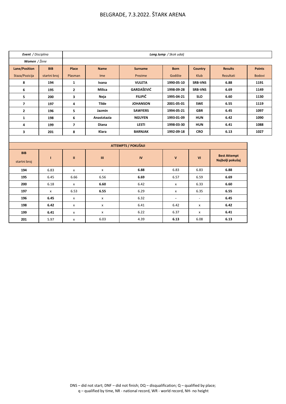| Event / Disciplina   |              |                         |                           |                            | Long Jump / Skok udalj    |                |                     |               |  |  |
|----------------------|--------------|-------------------------|---------------------------|----------------------------|---------------------------|----------------|---------------------|---------------|--|--|
| Women / Žene         |              |                         |                           |                            |                           |                |                     |               |  |  |
| <b>Lane/Position</b> | <b>BIB</b>   | Place                   | <b>Name</b>               | <b>Surname</b>             | <b>Born</b>               | Country        | <b>Results</b>      | <b>Points</b> |  |  |
| Staza/Pozicija       | startni broj | Plasman                 | Ime                       | Prezime                    | Godište                   | Klub           | Rezultati           | <b>Bodovi</b> |  |  |
| 8                    | 194          | $\mathbf{1}$            | Ivana                     | <b>VULETA</b>              | 1990-05-10                | <b>SRB-VNS</b> | 6.88                | 1191          |  |  |
| 6                    | 195          | $\mathbf{2}$            | <b>Milica</b>             | <b>GARDAŠEVIĆ</b>          | 1998-09-28                | <b>SRB-VNS</b> | 6.69                | 1149          |  |  |
| 5                    | 200          | 3                       | Neja                      | <b>FILIPIČ</b>             | 1995-04-21                | <b>SLO</b>     | 6.60                | 1130          |  |  |
| $\overline{7}$       | 197          | 4                       | <b>Tilde</b>              | <b>JOHANSON</b>            | 2001-05-01                | <b>SWE</b>     | 6.55                | 1119          |  |  |
| $\overline{2}$       | 196          | 5                       | Jazmin                    | <b>SAWYERS</b>             | 1994-05-21                | <b>GBR</b>     | 6.45                | 1097          |  |  |
| $\mathbf{1}$         | 198          | 6                       | Anastztazia               | <b>NGUYEN</b>              | 1993-01-09                | <b>HUN</b>     | 6.42                | 1090          |  |  |
| 4                    | 199          | $\overline{\mathbf{z}}$ | <b>Diana</b>              | <b>LESTI</b>               | 1998-03-30                | <b>HUN</b>     | 6.41                | 1088          |  |  |
| 3                    | 201          | 8                       | Klara                     | <b>BARNJAK</b>             | 1992-09-18                | <b>CRO</b>     | 6.13                | 1027          |  |  |
|                      |              |                         |                           |                            |                           |                |                     |               |  |  |
|                      |              |                         |                           | <b>ATTEMPTS / POKUŠAJI</b> |                           |                |                     |               |  |  |
| <b>BIB</b>           |              |                         |                           |                            |                           |                | <b>Best Attempt</b> |               |  |  |
| startni broj         | т            | $\mathbf{u}$            | Ш                         | IV                         | $\mathbf{v}$              | VI             | Najbolji pokušaj    |               |  |  |
| 194                  | 6.83         | X                       | $\pmb{\chi}$              | 6.88                       | 6.83                      | 6.83           | 6.88                |               |  |  |
| 195                  | 6.45         | 6.66                    | 6.56                      | 6.69                       | 6.57                      | 6.59           | 6.69                |               |  |  |
| 200                  | 6.18         | X                       | 6.60                      | 6.42                       | $\boldsymbol{\mathsf{x}}$ | 6.33           | 6.60                |               |  |  |
| 197                  | x            | 6.53                    | 6.55                      | 6.29                       | X                         | 6.35           | 6.55                |               |  |  |
| 196                  | 6.45         | x                       | $\boldsymbol{\mathsf{x}}$ | 6.32                       | $\blacksquare$            | $\blacksquare$ | 6.45                |               |  |  |
| 198                  | 6.42         | X                       | $\mathsf{x}$              | 6.41                       | 6.42                      | $\mathsf{x}$   | 6.42                |               |  |  |
| 199                  | 6.41         | X                       | $\boldsymbol{\mathsf{x}}$ | 6.22                       | 6.37                      | X              | 6.41                |               |  |  |

**201** 5.97 x 6.03 4.39 **6.13** 6.08 **6.13**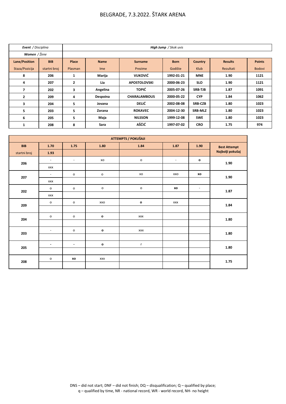| Event / Disciplina       |              |              |                 |                     | High Jump / Skok uvis |                |                |               |
|--------------------------|--------------|--------------|-----------------|---------------------|-----------------------|----------------|----------------|---------------|
| Women / Žene             |              |              |                 |                     |                       |                |                |               |
| <b>Lane/Position</b>     | <b>BIB</b>   | Place        | <b>Name</b>     | <b>Surname</b>      | <b>Born</b>           | <b>Country</b> | <b>Results</b> | <b>Points</b> |
| Staza/Pozicija           | startni broj | Plasman      | I <sub>me</sub> | Prezime             | Godište               | Klub           | Rezultati      | <b>Bodovi</b> |
| 8                        | 206          | 1            | Marija          | <b>VUKOVIĆ</b>      | 1992-01-21            | <b>MNE</b>     | 1.90           | 1121          |
| 4                        | 207          | $\mathbf{2}$ | Lia             | <b>APOSTOLOVSKI</b> | 2000-06-23            | <b>SLO</b>     | 1.90           | 1121          |
| $\overline{\phantom{a}}$ | 202          | 3            | Angelina        | <b>TOPIĆ</b>        | 2005-07-26            | <b>SRB-TJB</b> | 1.87           | 1091          |
| $\overline{2}$           | 209          | 4            | Despoina        | <b>CHARALAMBOUS</b> | 2000-05-22            | <b>CYP</b>     | 1.84           | 1062          |
| 3                        | 204          | 5            | Jovana          | <b>DELIĆ</b>        | 2002-08-08            | <b>SRB-CZB</b> | 1.80           | 1023          |
| 5                        | 203          | 5            | Zorana          | <b>ROKAVEC</b>      | 2004-12-30            | <b>SRB-MLZ</b> | 1.80           | 1023          |
| 6                        | 205          | 5            | Maja            | <b>NILSSON</b>      | 1999-12-08            | <b>SWE</b>     | 1.80           | 1023          |
| 1                        | 208          | 8            | Sara            | AŠĆIĆ               | 1997-07-02            | <b>CRO</b>     | 1.75           | 974           |

|              |                          |                          |                     | ATTEMPTS / POKUŠAJI |                |              |                     |
|--------------|--------------------------|--------------------------|---------------------|---------------------|----------------|--------------|---------------------|
| <b>BIB</b>   | 1.70                     | 1.75                     | 1.80                | 1.84                | 1.87           | 1.90         | <b>Best Attempt</b> |
| startni broj | 1.93                     |                          |                     |                     |                |              | Najbolji pokušaj    |
| 206          | $\blacksquare$           | $\overline{\phantom{a}}$ | XO                  | $\mathsf{o}$        | $\blacksquare$ | $\mathbf{o}$ | 1.90                |
|              | <b>XXX</b>               |                          |                     |                     |                |              |                     |
| 207          | $\overline{\phantom{a}}$ | $\mathsf{o}$             | $\mathsf{o}\,$      | XO                  | XXO            | xo           | 1.90                |
|              | <b>XXX</b>               |                          |                     |                     |                |              |                     |
| 202          | $\mathsf{o}$             | $\mathsf{o}$             | $\mathsf{o}\xspace$ | $\mathsf{o}$        | xo             | $\sim$       | 1.87                |
|              | <b>XXX</b>               |                          |                     |                     |                |              |                     |
| 209          | $\mathsf{o}$             | $\mathsf{o}$             | XXO                 | $\mathbf{o}$        | <b>XXX</b>     |              | 1.84                |
|              |                          |                          |                     |                     |                |              |                     |
| 204          | $\mathsf{o}$             | $\mathsf{o}$             | $\mathbf{o}$        | <b>XXX</b>          |                |              | 1.80                |
|              |                          |                          |                     |                     |                |              |                     |
| 203          | $\blacksquare$           | $\mathsf{o}$             | $\mathbf{o}$        | <b>XXX</b>          |                |              | 1.80                |
|              |                          |                          |                     |                     |                |              |                     |
| 205          | $\blacksquare$           | $\blacksquare$           | $\mathbf{o}$        | $\mathsf{r}$        |                |              | 1.80                |
|              |                          |                          |                     |                     |                |              |                     |
| 208          | $\mathsf{o}$             | xo                       | <b>XXX</b>          |                     |                |              | 1.75                |
|              |                          |                          |                     |                     |                |              |                     |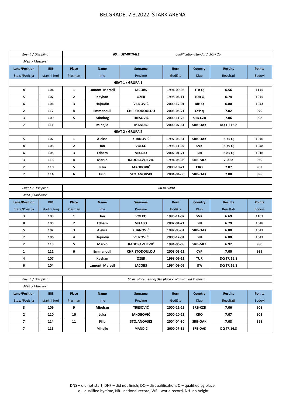| Event / Disciplina   |              |                |                       | <b>60 m SEMIFINALS</b>  |             | qualification standard: $3Q + 2q$ |                   |               |
|----------------------|--------------|----------------|-----------------------|-------------------------|-------------|-----------------------------------|-------------------|---------------|
| Men / Muškarci       |              |                |                       |                         |             |                                   |                   |               |
| <b>Lane/Position</b> | <b>BIB</b>   | Place          | <b>Name</b>           | <b>Surname</b>          | <b>Born</b> | <b>Country</b>                    | <b>Results</b>    | <b>Points</b> |
| Staza/Pozicija       | startni broj | Plasman        | Ime                   | Prezime                 | Godište     | Klub                              | Rezultati         | <b>Bodovi</b> |
|                      |              |                |                       | <b>HEAT 1 / GRUPA 1</b> |             |                                   |                   |               |
| 4                    | 104          | 1              | <b>Lamont Marcell</b> | <b>JACOBS</b>           | 1994-09-06  | <b>ITA Q</b>                      | 6.56              | 1175          |
| 5                    | 107          | $\overline{2}$ | Kayhan                | <b>OZER</b>             | 1998-06-11  | TUR <sub>Q</sub>                  | 6.74              | 1075          |
| 6                    | 106          | 3              | Hajrudin              | <b>VEJZOVIĆ</b>         | 2000-12-01  | <b>BIH Q</b>                      | 6.80              | 1043          |
| $\overline{2}$       | 112          | 4              | <b>Emmanouil</b>      | <b>CHRISTODOULOU</b>    | 2003-05-21  | CYP <sub>a</sub>                  | 7.02              | 929           |
| 3                    | 109          | 5              | Miodrag               | <b>TRESOVIĆ</b>         | 2000-11-25  | <b>SRB-CZB</b>                    | 7.06              | 908           |
| 7                    | 111          |                | Mihajlo               | <b>MANDIĆ</b>           | 2000-07-31  | <b>SRB-OAK</b>                    | <b>DQ TR 16.8</b> |               |
|                      |              |                |                       | <b>HEAT 2 / GRUPA 2</b> |             |                                   |                   |               |
| 5                    | 102          | $\mathbf{1}$   | Aleksa                | <b>KIJANOVIĆ</b>        | 1997 03 31  | <b>SRB-OAK</b>                    | 6.75Q             | 1070          |
| 4                    | 103          | $\overline{2}$ | Jan                   | <b>VOLKO</b>            | 1996-11-02  | <b>SVK</b>                        | 6.79 Q            | 1048          |
| 6                    | 105          | 3              | Edhem                 | <b>VIKALO</b>           | 2002-01-21  | BIH                               | 6.85Q             | 1016          |
| 3                    | 113          | 4              | Marko                 | <b>RADOSAVLJEVIĆ</b>    | 1994-05-08  | <b>SRB-MLZ</b>                    | 7.00 q            | 939           |
| $\mathbf{2}$         | 110          | 5              | Luka                  | <b>JAKOBOVIĆ</b>        | 2000-10-21  | <b>CRO</b>                        | 7.07              | 903           |
| $\overline{ }$       | 114          | 6              | <b>Filip</b>          | <b>STOJANOVSKI</b>      | 2004-04-30  | <b>SRB-OAK</b>                    | 7.08              | 898           |

| Event / Disciplina |              |                |                       |                      | <b>60 m FINAL</b> |                |                   |               |
|--------------------|--------------|----------------|-----------------------|----------------------|-------------------|----------------|-------------------|---------------|
| Men / Muškarci     |              |                |                       |                      |                   |                |                   |               |
| Lane/Position      | <b>BIB</b>   | <b>Place</b>   | <b>Name</b>           | <b>Surname</b>       | <b>Born</b>       | Country        | <b>Results</b>    | <b>Points</b> |
| Staza/Pozicija     | startni broj | Plasman        | <b>Ime</b>            | Prezime              | Godište           | Klub           | Rezultati         | <b>Bodovi</b> |
| 3                  | 103          | 1              | Jan                   | <b>VOLKO</b>         | 1996-11-02        | <b>SVK</b>     | 6.69              | 1103          |
| 8                  | 105          | $\overline{2}$ | Edhem                 | <b>VIKALO</b>        | 2002-01-21        | BIH            | 6.79              | 1048          |
| 5                  | 102          | 3              | Aleksa                | <b>KIJANOVIĆ</b>     | 1997-03-31        | <b>SRB-OAK</b> | 6.80              | 1043          |
| 7                  | 106          | 4              | Hajrudin              | <b>VEJZOVIĆ</b>      | 2000-12-01        | BIH            | 6.80              | 1043          |
| 2                  | 113          | 5              | Marko                 | <b>RADOSAVLJEVIĆ</b> | 1994-05-08        | <b>SRB-MLZ</b> | 6.92              | 980           |
| $\mathbf{1}$       | 112          | 6              | <b>Emmanouil</b>      | <b>CHRISTODOULOU</b> | 2003-05-21        | <b>CYP</b>     | 7.00              | 939           |
| 4                  | 107          |                | Kayhan                | <b>OZER</b>          | 1998-06-11        | <b>TUR</b>     | <b>DQ TR 16.8</b> |               |
| 6                  | 104          |                | <b>Lamont Marcell</b> | <b>JACOBS</b>        | 1994-09-06        | <b>ITA</b>     | <b>DQ TR 16.8</b> |               |

| Event / Disciplina |              |         | 60 m placement of 9th place / plasman od 9. mesta |                    |             |                |                   |               |
|--------------------|--------------|---------|---------------------------------------------------|--------------------|-------------|----------------|-------------------|---------------|
| Men / Muškarci     |              |         |                                                   |                    |             |                |                   |               |
| Lane/Position      | <b>BIB</b>   | Place   | <b>Name</b>                                       | <b>Surname</b>     | <b>Born</b> | Country        | <b>Results</b>    | <b>Points</b> |
| Staza/Pozicija     | startni broj | Plasman | I <sub>me</sub>                                   | Prezime            | Godište     | Klub           | Rezultati         | <b>Bodovi</b> |
| 3                  | 109          | 9       | <b>Miodrag</b>                                    | <b>TRESOVIĆ</b>    | 2000-11-25  | <b>SRB-CZB</b> | 7.06              | 908           |
| <u>n</u>           | 110          | 10      | Luka                                              | <b>JAKOBOVIĆ</b>   | 2000-10-21  | <b>CRO</b>     | 7.07              | 903           |
|                    | 114          | 11      | <b>Filip</b>                                      | <b>STOJANOVSKI</b> | 2004 04 30  | <b>SRB-OAK</b> | 7.08              | 898           |
|                    | 111          |         | Mihajlo                                           | MANDIĆ             | 2000-07-31  | <b>SRB-OAK</b> | <b>DQ TR 16.8</b> |               |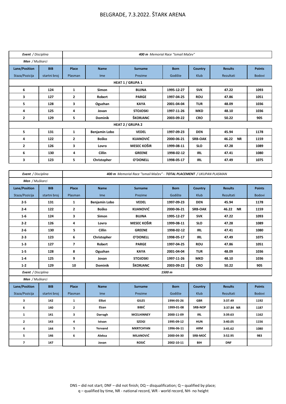| Event / Disciplina |              | 400 m Memorial Race "Ismail Mačev" |                |                         |             |                |                    |               |
|--------------------|--------------|------------------------------------|----------------|-------------------------|-------------|----------------|--------------------|---------------|
| Men / Muškarci     |              |                                    |                |                         |             |                |                    |               |
| Lane/Position      | <b>BIB</b>   | Place                              | <b>Name</b>    | <b>Surname</b>          | <b>Born</b> | <b>Country</b> | <b>Results</b>     | <b>Points</b> |
| Staza/Pozicija     | startni broj | Plasman                            | Ime            | Prezime                 | Godište     | Klub           | Rezultati          | <b>Bodovi</b> |
|                    |              |                                    |                | <b>HEAT 1 / GRUPA 1</b> |             |                |                    |               |
| 6                  | 124          | $\mathbf{1}$                       | <b>Simon</b>   | <b>BUJNA</b>            | 1995-12-27  | <b>SVK</b>     | 47.22              | 1093          |
| 3                  | 127          | 2                                  | <b>Robert</b>  | <b>PARGE</b>            | 1997 04 25  | <b>ROU</b>     | 47.86              | 1051          |
| 5                  | 128          | 3                                  | Oguzhan        | <b>KAYA</b>             | 2001-04-04  | <b>TUR</b>     | 48.09              | 1036          |
| 4                  | 125          | 4                                  | Jovan          | <b>STOJOSKI</b>         | 1997-11-26  | <b>MKD</b>     | 48.10              | 1036          |
| 2                  | 129          | 5                                  | <b>Dominik</b> | ŠKORJANC                | 2003-09-22  | <b>CRO</b>     | 50.22              | 905           |
|                    |              |                                    |                | <b>HEAT 2 / GRUPA 2</b> |             |                |                    |               |
| 5                  | 131          | 1                                  | Benjamin Lobo  | <b>VEDEL</b>            | 1997-09-23  | <b>DEN</b>     | 45.94              | 1178          |
| 4                  | 122          | $\overline{2}$                     | Boško          | <b>KIJANOVIĆ</b>        | 2000-06-21  | <b>SRB-OAK</b> | 46.22<br><b>NR</b> | 1159          |
| 2                  | 126          | 3                                  | Lovro          | <b>MESEC KOŠIR</b>      | 1999-08-11  | <b>SLO</b>     | 47.28              | 1089          |
| 6                  | 130          | 4                                  | Cillin         | <b>GREENE</b>           | 1998-02-12  | IRL            | 47.41              | 1080          |
| 3                  | 123          | 5                                  | Christopher    | O'DONELL                | 1998-05-17  | IRL            | 47.49              | 1075          |

| Event / Disciplina       |              |                          | 400 m Memorial Race "Ismail Mačev" - TOTAL PLACEMENT / UKUPAN PLASMAN |                    |             |                |                    |               |  |
|--------------------------|--------------|--------------------------|-----------------------------------------------------------------------|--------------------|-------------|----------------|--------------------|---------------|--|
| Men / Muškarci           |              |                          |                                                                       |                    |             |                |                    |               |  |
| Lane/Position            | <b>BIB</b>   | Place                    | <b>Name</b>                                                           | <b>Surname</b>     | <b>Born</b> | Country        | <b>Results</b>     | <b>Points</b> |  |
| Staza/Pozicija           | startni broj | Plasman                  | <b>Ime</b>                                                            | Prezime            | Godište     | Klub           | Rezultati          | <b>Bodovi</b> |  |
| $2 - 5$                  | 131          | $\mathbf{1}$             | <b>Benjamin Lobo</b>                                                  | <b>VEDEL</b>       | 1997-09-23  | <b>DEN</b>     | 45.94              | 1178          |  |
| $2 - 4$                  | 122          | $\mathbf{2}$             | <b>Boško</b>                                                          | <b>KIJANOVIĆ</b>   | 2000-06-21  | <b>SRB-OAK</b> | 46.22<br><b>NR</b> | 1159          |  |
| $1-6$                    | 124          | 3                        | Simon                                                                 | <b>BUJNA</b>       | 1995-12-27  | <b>SVK</b>     | 47.22              | 1093          |  |
| $2 - 2$                  | 126          | 4                        | Lovro                                                                 | <b>MESEC KOŠIR</b> | 1999-08-11  | <b>SLO</b>     | 47.28              | 1089          |  |
| $2 - 6$                  | 130          | 5                        | Cillin                                                                | <b>GREENE</b>      | 1998-02-12  | <b>IRL</b>     | 47.41              | 1080          |  |
| $2 - 3$                  | 123          | 6                        | Christopher                                                           | <b>O'DONELL</b>    | 1998-05-17  | <b>IRL</b>     | 47.49              | 1075          |  |
| $1-3$                    | 127          | $\overline{\phantom{a}}$ | Robert                                                                | <b>PARGE</b>       | 1997-04-25  | <b>ROU</b>     | 47.86              | 1051          |  |
| $1-5$                    | 128          | 8                        | Oguzhan                                                               | <b>KAYA</b>        | 2001-04-04  | <b>TUR</b>     | 48.09              | 1036          |  |
| $1-4$                    | 125          | 9                        | Jovan                                                                 | <b>STOJOSKI</b>    | 1997-11-26  | <b>MKD</b>     | 48.10              | 1036          |  |
| $1 - 2$                  | 129          | 10                       | <b>Dominik</b>                                                        | ŠKORJANC           | 2003-09-22  | <b>CRO</b>     | 50.22              | 905           |  |
| Event / Disciplina       |              |                          |                                                                       |                    | 1500 m      |                |                    |               |  |
| Men / Muškarci           |              |                          |                                                                       |                    |             |                |                    |               |  |
| Lane/Position            | <b>BIB</b>   | Place                    | <b>Name</b>                                                           | <b>Surname</b>     | <b>Born</b> | Country        | <b>Results</b>     | <b>Points</b> |  |
| Staza/Pozicija           | startni broj | Plasman                  | Ime                                                                   | Prezime            | Godište     | Klub           | Rezultati          | <b>Bodovi</b> |  |
| 3                        | 142          | $\mathbf{1}$             | <b>Elliot</b>                                                         | <b>GILES</b>       | 1994-05-26  | <b>GBR</b>     | 3:37.49            | 1192          |  |
| 6                        | 140          | $\mathbf{2}$             | Elzan                                                                 | BIBIĆ              | 1999-01-08  | <b>SRB-NOP</b> | 3:37.84 NR         | 1187          |  |
| $\mathbf{1}$             | 141          | 3                        | Darragh                                                               | <b>MCELHINNEY</b>  | 2000-11-09  | <b>IRL</b>     | 3:39.63            | 1162          |  |
| $\mathbf{2}$             | 143          | 4                        | Istvan                                                                | <b>SZOGI</b>       | 1995-09-12  | <b>HUN</b>     | 3:40.05            | 1156          |  |
| 4                        | 144          | 5                        | Yervand                                                               | <b>MKRTCHYAN</b>   | 1996-06-11  | ARM            | 3:45.62            | 1080          |  |
| 5                        | 146          | 6                        | Aleksa                                                                | <b>MILANOVIĆ</b>   | 2000-04-30  | SRB-MOĆ        | 3:52.95            | 983           |  |
| $\overline{\phantom{a}}$ | 147          |                          | Jovan                                                                 | <b>ROSIĆ</b>       | 2002-10-11  | BIH            | <b>DNF</b>         |               |  |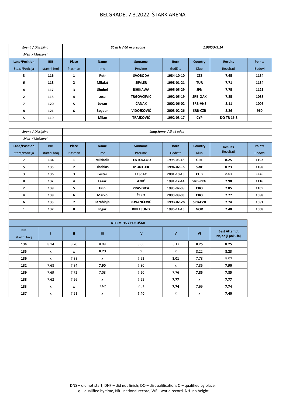| Event / Disciplina |              |                | 60 m H / 60 m prepone |                   |             | 1.067/5/9.14   |                   |               |
|--------------------|--------------|----------------|-----------------------|-------------------|-------------|----------------|-------------------|---------------|
| Men / Muškarci     |              |                |                       |                   |             |                |                   |               |
| Lane/Position      | <b>BIB</b>   | Place          | <b>Name</b>           | <b>Surname</b>    | <b>Born</b> | <b>Country</b> | <b>Results</b>    | <b>Points</b> |
| Staza/Pozicija     | startni broj | Plasman        | <b>Ime</b>            | Prezime           | Godište     | Klub           | Rezultati         | <b>Bodovi</b> |
| 3                  | 116          | 1              | Petr                  | <b>SVOBODA</b>    | 1984-10-10  | <b>CZE</b>     | 7.65              | 1154          |
| 6                  | 118          | $\overline{2}$ | Mikdat                | <b>SEVLER</b>     | 1998-01-21  | <b>TUR</b>     | 7.71              | 1134          |
| 4                  | 117          | 3              | Shuhei                | <b>ISHIKAWA</b>   | 1995-05-29  | <b>JPN</b>     | 7.75              | 1121          |
| $\overline{2}$     | 115          | 4              | Luca                  | <b>TRGOVČEVIĆ</b> | 1992-05-19  | <b>SRB-OAK</b> | 7.85              | 1088          |
| 7                  | 120          | 5              | Jovan                 | ČANAK             | 2002-06-02  | <b>SRB-VNS</b> | 8.11              | 1006          |
| 8                  | 121          | 6              | Bogdan                | <b>VIDOJKOVIĆ</b> | 2003-02-26  | <b>SRB-CZB</b> | 8.26              | 960           |
| 5.                 | 119          |                | Milan                 | <b>TRAJKOVIĆ</b>  | 1992-03-17  | <b>CYP</b>     | <b>DQ TR 16.8</b> |               |

| Event / Disciplina   |              | Long Jump / Skok udalj   |                           |                     |              |                |                     |               |
|----------------------|--------------|--------------------------|---------------------------|---------------------|--------------|----------------|---------------------|---------------|
| Men / Muškarci       |              |                          |                           |                     |              |                |                     |               |
| <b>Lane/Position</b> | <b>BIB</b>   | Place                    | <b>Name</b>               | <b>Surname</b>      | <b>Born</b>  | Country        | <b>Results</b>      | <b>Points</b> |
| Staza/Pozicija       | startni broj | Plasman                  | I <sub>me</sub>           | Prezime             | Godište      | <b>Klub</b>    | Rezultati           | <b>Bodovi</b> |
| $\overline{ }$       | 134          | $\mathbf{1}$             | <b>Miltiadis</b>          | <b>TENTOGLOU</b>    | 1998-03-18   | <b>GRE</b>     | 8.25                | 1192          |
| 5                    | 135          | $\overline{2}$           | <b>Thobias</b>            | <b>MONTLER</b>      | 1996-02-15   | <b>SWE</b>     | 8.23                | 1188          |
| 3                    | 136          | 3                        | Lester                    | <b>LESCAY</b>       | 2001-10-15   | <b>CUB</b>     | 8.01                | 1140          |
| 8                    | 132          | 4                        | Lazar                     | ANIĆ                | 1991-12-14   | <b>SRB-RKG</b> | 7.90                | 1116          |
| $\mathbf{2}$         | 139          | 5                        | <b>Filip</b>              | <b>PRAVDICA</b>     | 1995-07-08   | <b>CRO</b>     | 7.85                | 1105          |
| 4                    | 138          | 6                        | <b>Marko</b>              | ČEKO                | 2000-08-03   | <b>CRO</b>     | 7.77                | 1088          |
| 6                    | 133          | $\overline{\phantom{a}}$ | Strahinja                 | <b>JOVANČEVIĆ</b>   | 1993-02-28   | <b>SRB-CZB</b> | 7.74                | 1081          |
| $\mathbf{1}$         | 137          | 8                        | Ingar                     | <b>KIPLESUND</b>    | 1996-11-15   | <b>NOR</b>     | 7.40                | 1008          |
|                      |              |                          |                           |                     |              |                |                     |               |
|                      |              |                          |                           | ATTEMPTS / POKUŠAJI |              |                |                     |               |
| <b>BIB</b>           | т            | $\mathbf{H}$             | $\mathbf{m}$              | IV                  | $\mathbf{v}$ | VI             | <b>Best Attempt</b> |               |
| startni broj         |              |                          |                           |                     |              |                | Najbolji pokušaj    |               |
| 134                  | 8.14         | 8.20                     | 8.08                      | 8.06                | 8.17         | 8.25           | 8.25                |               |
| 135                  | x            | X                        | 8.23                      | X                   | X            | 8.22           | 8.23                |               |
| 136                  | x            | 7.88                     | $\mathsf{x}$              | 7.92                | 8.01         | 7.78           | 8.01                |               |
| 132                  | 7.68         | 7.84                     | 7.90                      | 7.80                | x            | 7.86           | 7.90                |               |
| 139                  | 7.69         | 7.72                     | 7.08                      | 7.20                | 7.76         | 7.85           | 7.85                |               |
| 138                  | 7.62         | 7.56                     | X                         | 7.65                | 7.77         | X              | 7.77                |               |
| 133                  | X            | X                        | 7.62                      | 7.51                | 7.74         | 7.69           | 7.74                |               |
| 137                  | X            | 7.21                     | $\boldsymbol{\mathsf{x}}$ | 7.40                | x            | $\mathsf{x}$   | 7.40                |               |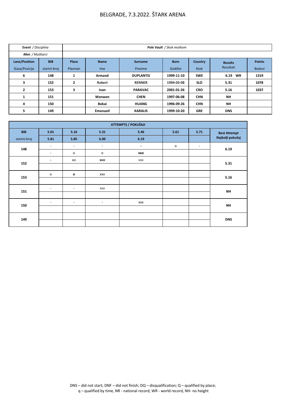| Event / Disciplina |              |                | Pole Vault / Skok motkom |                  |             |                |                   |               |  |  |
|--------------------|--------------|----------------|--------------------------|------------------|-------------|----------------|-------------------|---------------|--|--|
| Men / Muškarci     |              |                |                          |                  |             |                |                   |               |  |  |
| Lane/Position      | <b>BIB</b>   | Place          | <b>Name</b>              | <b>Surname</b>   | <b>Born</b> | <b>Country</b> | <b>Results</b>    | <b>Points</b> |  |  |
| Staza/Pozicija     | startni broj | Plasman        | <b>Ime</b>               | Prezime          | Godište     | Klub           | Rezultati         | Bodovi        |  |  |
| 6                  | 148          | 1              | <b>Armand</b>            | <b>DUPLANTIS</b> | 1999-11-10  | <b>SWE</b>     | 6.19<br><b>WR</b> | 1319          |  |  |
| 3                  | 152          | $\overline{2}$ | Robert                   | <b>RENNER</b>    | 1994-03-08  | <b>SLO</b>     | 5.31              | 1078          |  |  |
| $\overline{2}$     | 153          | 3              | <b>Ivan</b>              | <b>PARAVAC</b>   | 2001-01-26  | <b>CRO</b>     | 5.16              | 1037          |  |  |
| 1                  | 151          |                | Wenwen                   | <b>CHEN</b>      | 1997-06-08  | <b>CHN</b>     | <b>NH</b>         |               |  |  |
| 4                  | 150          |                | <b>Bokai</b>             | <b>HUANG</b>     | 1996-09-26  | <b>CHN</b>     | <b>NH</b>         |               |  |  |
| 5                  | 149          |                | <b>Emanuoil</b>          | <b>KARALIS</b>   | 1999-10-20  | <b>GRE</b>     | <b>DNS</b>        |               |  |  |

|              | ATTEMPTS / POKUŠAJI      |                          |                          |                |                |                          |                     |  |  |  |
|--------------|--------------------------|--------------------------|--------------------------|----------------|----------------|--------------------------|---------------------|--|--|--|
| <b>BIB</b>   | 5.01                     | 5.16                     | 5.31                     | 5.46           | 5.61           | 5.71                     | <b>Best Attempt</b> |  |  |  |
| startni broj | 5.81                     | 5.85                     | 6.00                     | 6.19           |                |                          | Najbolji pokušaj    |  |  |  |
| 148          | $\overline{\phantom{a}}$ | $\overline{\phantom{a}}$ | $\overline{\phantom{a}}$ | $\blacksquare$ | $\mathsf{o}\,$ | $\overline{\phantom{a}}$ | 6.19                |  |  |  |
|              | $\overline{\phantom{a}}$ | o                        | $\mathsf{o}$             | XXO            |                |                          |                     |  |  |  |
| 152          | $\blacksquare$           | XO                       | XXO                      | <b>XXX</b>     |                |                          | 5.31                |  |  |  |
|              |                          |                          |                          |                |                |                          |                     |  |  |  |
| 153          | $\mathsf{o}$             | $\mathbf{o}$             | <b>XXX</b>               |                |                |                          | 5.16                |  |  |  |
|              |                          |                          |                          |                |                |                          |                     |  |  |  |
| 151          | $\overline{\phantom{a}}$ | $\overline{\phantom{a}}$ | <b>XXX</b>               |                |                |                          | <b>NH</b>           |  |  |  |
|              |                          |                          |                          |                |                |                          |                     |  |  |  |
| 150          | $\overline{\phantom{a}}$ | $\overline{\phantom{a}}$ | $\overline{\phantom{a}}$ | <b>XXX</b>     |                |                          | <b>NH</b>           |  |  |  |
|              |                          |                          |                          |                |                |                          |                     |  |  |  |
| 149          |                          |                          |                          |                |                |                          | <b>DNS</b>          |  |  |  |
|              |                          |                          |                          |                |                |                          |                     |  |  |  |